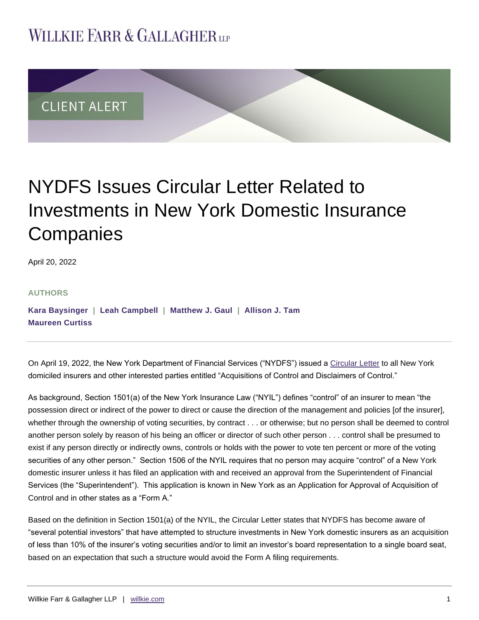## **WILLKIE FARR & GALLAGHERUP**



# NYDFS Issues Circular Letter Related to Investments in New York Domestic Insurance **Companies**

April 20, 2022

#### **AUTHORS**

**[Kara Baysinger](https://www.willkie.com/professionals/b/baysinger-kara) | [Leah Campbell](https://www.willkie.com/professionals/c/campbell-leah) | [Matthew J. Gaul](https://www.willkie.com/professionals/g/gaul-matthew) | [Allison J. Tam](https://www.willkie.com/professionals/t/tam-allison-j) [Maureen Curtiss](https://www.willkie.com/professionals/c/curtiss-kellett-maureen)**

On April 19, 2022, the New York Department of Financial Services ("NYDFS") issued a [Circular Letter](https://www.dfs.ny.gov/industry_guidance/circular_letters/cl2022_05) to all New York domiciled insurers and other interested parties entitled "Acquisitions of Control and Disclaimers of Control."

As background, Section 1501(a) of the New York Insurance Law ("NYIL") defines "control" of an insurer to mean "the possession direct or indirect of the power to direct or cause the direction of the management and policies [of the insurer], whether through the ownership of voting securities, by contract . . . or otherwise; but no person shall be deemed to control another person solely by reason of his being an officer or director of such other person . . . control shall be presumed to exist if any person directly or indirectly owns, controls or holds with the power to vote ten percent or more of the voting securities of any other person." Section 1506 of the NYIL requires that no person may acquire "control" of a New York domestic insurer unless it has filed an application with and received an approval from the Superintendent of Financial Services (the "Superintendent"). This application is known in New York as an Application for Approval of Acquisition of Control and in other states as a "Form A."

Based on the definition in Section 1501(a) of the NYIL, the Circular Letter states that NYDFS has become aware of "several potential investors" that have attempted to structure investments in New York domestic insurers as an acquisition of less than 10% of the insurer's voting securities and/or to limit an investor's board representation to a single board seat, based on an expectation that such a structure would avoid the Form A filing requirements.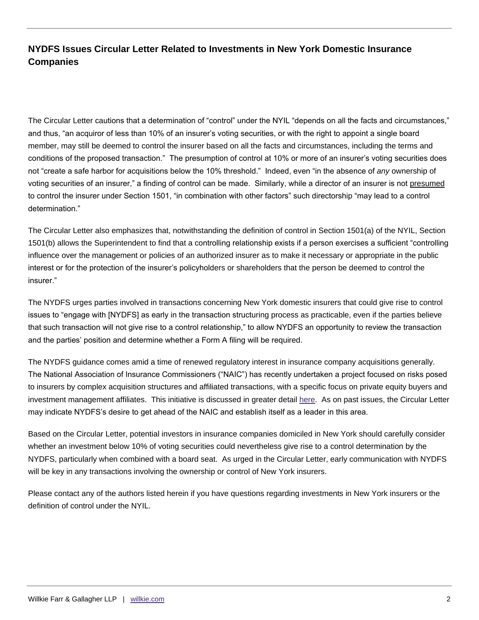## **NYDFS Issues Circular Letter Related to Investments in New York Domestic Insurance Companies**

The Circular Letter cautions that a determination of "control" under the NYIL "depends on all the facts and circumstances," and thus, "an acquiror of less than 10% of an insurer's voting securities, or with the right to appoint a single board member, may still be deemed to control the insurer based on all the facts and circumstances, including the terms and conditions of the proposed transaction." The presumption of control at 10% or more of an insurer's voting securities does not "create a safe harbor for acquisitions below the 10% threshold." Indeed, even "in the absence of *any* ownership of voting securities of an insurer," a finding of control can be made. Similarly, while a director of an insurer is not presumed to control the insurer under Section 1501, "in combination with other factors" such directorship "may lead to a control determination."

The Circular Letter also emphasizes that, notwithstanding the definition of control in Section 1501(a) of the NYIL, Section 1501(b) allows the Superintendent to find that a controlling relationship exists if a person exercises a sufficient "controlling influence over the management or policies of an authorized insurer as to make it necessary or appropriate in the public interest or for the protection of the insurer's policyholders or shareholders that the person be deemed to control the insurer."

The NYDFS urges parties involved in transactions concerning New York domestic insurers that could give rise to control issues to "engage with [NYDFS] as early in the transaction structuring process as practicable, even if the parties believe that such transaction will not give rise to a control relationship," to allow NYDFS an opportunity to review the transaction and the parties' position and determine whether a Form A filing will be required.

The NYDFS guidance comes amid a time of renewed regulatory interest in insurance company acquisitions generally. The National Association of Insurance Commissioners ("NAIC") has recently undertaken a project focused on risks posed to insurers by complex acquisition structures and affiliated transactions, with a specific focus on private equity buyers and investment management affiliates. This initiative is discussed in greater detail [here.](https://www.willkie.com/-/media/files/publications/2021/12/naic_report_2021_fall_national_meeting.pdf) As on past issues, the Circular Letter may indicate NYDFS's desire to get ahead of the NAIC and establish itself as a leader in this area.

Based on the Circular Letter, potential investors in insurance companies domiciled in New York should carefully consider whether an investment below 10% of voting securities could nevertheless give rise to a control determination by the NYDFS, particularly when combined with a board seat. As urged in the Circular Letter, early communication with NYDFS will be key in any transactions involving the ownership or control of New York insurers.

Please contact any of the authors listed herein if you have questions regarding investments in New York insurers or the definition of control under the NYIL.